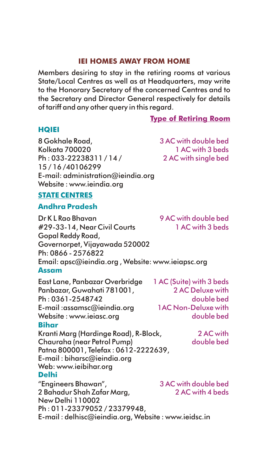## **IEI HOMES AWAY FROM HOME**

Members desiring to stay in the retiring rooms at various State/Local Centres as well as at Headquarters, may write to the Honorary Secretary of the concerned Centres and to the Secretary and Director General respectively for details of tariff and any other query in this regard.

**Type of Retiring Room**

### **HQIEI**

8 Gokhale Road, Kolkata 700020 Ph : 033-22238311 / 14 / 15 / 16 /40106299 E-mail: administration@ieindia.org Website : www.ieindia.org

3 AC with double bed 1 AC with 3 beds 2 AC with single bed

### **STATE CENTRES**

## **Andhra Pradesh**

Dr K L Rao Bhavan #29-33-14, Near Civil Courts Gopal Reddy Road, Governorpet, Vijayawada 520002 Ph: 0866 - 2576822 Email: apsc@ieindia.org , Website: www.ieiapsc.org East Lane, Panbazar Overbridge Panbazar, Guwahati 781001, Ph : 0361-2548742 E-mail :assamsc@ieindia.org Website : www.ieiasc.org Kranti Marg (Hardinge Road), R-Block, Chauraha (near Petrol Pump) Patna 800001, Telefax : 0612-2222639, E-mail : biharsc@ieindia.org Web: www.ieibihar.org "Engineers Bhawan", 2 Bahadur Shah Zafar Marg, New Delhi 110002 Ph : 011-23379052 / 23379948, E-mail : delhisc@ieindia.org, Website : www.ieidsc.in 9 AC with double bed 1 AC with 3 beds 1 AC (Suite) with 3 beds 2 AC Deluxe with double bed 1AC Non-Deluxe with double bed 2 AC with double bed 3 AC with double bed 2 AC with 4 beds **Assam Bihar Delhi**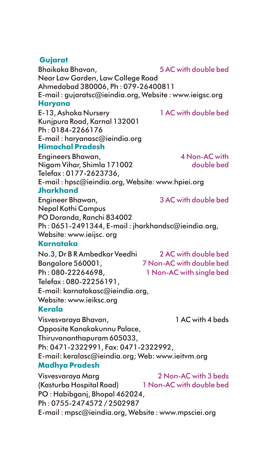# **Gujarat**

**Haryana** Bhaikaka Bhavan, Near Law Garden, Law College Road Ahmedabad 380006, Ph : 079-26400811 E-mail : gujaratsc@ieindia.org, Website : www.ieigsc.org E-13, Ashoka Nursery Kunjpura Road, Karnal 132001 Ph : 0184-2266176 5 AC with double bed 1 AC with double bed

**Himachal Pradesh** E-mail : haryanasc@ieindia.org

**Jharkhand** Engineers Bhawan, Nigam Vihar, Shimla 171002 Telefax : 0177-2623736, E-mail : hpsc@ieindia.org, Website: www.hpiei.org 4 Non-AC with double bed

Engineer Bhawan, Nepal Kothi Campus PO Doranda, Ranchi 834002 Ph : 0651-2491344, E-mail : jharkhandsc@ieindia.org, Website: www.ieijsc. org

# **Karnataka**

No.3, Dr B R Ambedkar Veedhi Bangalore 560001, Ph : 080-22264698, Telefax : 080-22256191, E-mail: karnatakasc@ieindia.org, Website: www.ieiksc.org 2 AC with double bed 7 Non-AC with double bed 1 Non-AC with single bed

# **Kerala**

**Madhya Pradesh** Visvesvaraya Bhavan, 1 AC with 4 beds Opposite Kanakakunnu Palace, Thiruvananthapuram 605033, Ph: 0471-2322991, Fax: 0471-2322992, E-mail: keralasc@ieindia.org; Web: www.ieitvm.org

Visvesvaraya Marg (Kasturba Hospital Road) PO : Habibganj, Bhopal 462024, Ph : 0755-2474572 / 2502987 E-mail : mpsc@ieindia.org, Website : www.mpsciei.org 2 Non-AC with 3 beds 1 Non-AC with double bed

3 AC with double bed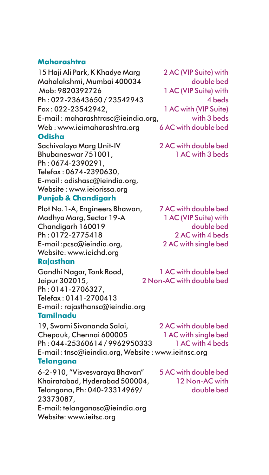# **Maharashtra**

**Odisha** 15 Haji Ali Park, K Khadye Marg Mahalakshmi, Mumbai 400034 Mob: 9820392726 Ph : 022-23643650 / 23542943 Fax : 022-23542942, E-mail : maharashtrasc@ieindia.org, Web : www.ieimaharashtra.org Sachivalaya Marg Unit-IV Bhubaneswar 751001,

**Punjab & Chandigarh** Ph : 0674-2390291, Telefax : 0674-2390630, E-mail : odishasc@ieindia.org, Website : www.ieiorissa.org

2 AC (VIP Suite) with double bed 1 AC (VIP Suite) with 4 beds 1 AC with (VIP Suite) with 3 beds 6 AC with double bed

2 AC with double bed 1 AC with 3 beds

Plot No.1-A, Engineers Bhawan, Madhya Marg, Sector 19-A Chandigarh 160019 Ph : 0172-2775418 E-mail :pcsc@ieindia.org, Website: www.ieichd.org

# **Rajasthan**

**Tamilnadu** Gandhi Nagar, Tonk Road, Jaipur 302015, Ph : 0141-2706327, Telefax : 0141-2700413 E-mail : rajasthansc@ieindia.org

1 AC (VIP Suite) with double bed 2 AC with 4 beds 2 AC with single bed

7 AC with double bed

1 AC with double bed 2 Non-AC with double bed

**Telangana** 19, Swami Sivananda Salai, Chepauk, Chennai 600005 Ph : 044-25360614 / 9962950333 E-mail : tnsc@ieindia.org, Website : www.ieitnsc.org 2 AC with double bed 1 AC with single bed 1 AC with 4 beds

6-2-910, "Visvesvaraya Bhavan" Khairatabad, Hyderabad 500004, Telangana, Ph: 040-23314969/ 23373087, E-mail: telanganasc@ieindia.org Website: www.ieitsc.org

5 AC with double bed 12 Non-AC with double bed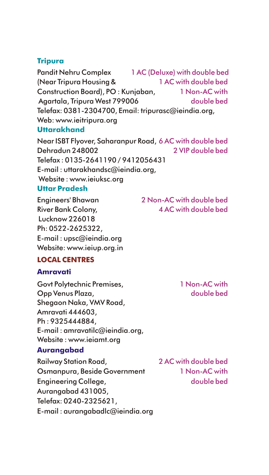# **Tripura**

**Uttarakhand** Pandit Nehru Complex (Near Tripura Housing & Construction Board), PO : Kunjaban, Agartala, Tripura West 799006 Telefax: 0381-2304700, Email: tripurasc@ieindia.org, Web: www.ieitripura.org 1 AC (Deluxe) with double bed 1 AC with double bed 1 Non-AC with double bed

Near ISBT Flyover, Saharanpur Road, 6 AC with double bed Dehradun 248002 Telefax : 0135-2641190 / 9412056431 E-mail : uttarakhandsc@ieindia.org, Website : www.ieiuksc.org 2 VIP double bed

# **Uttar Pradesh**

Engineers' Bhawan River Bank Colony, Lucknow 226018 Ph: 0522-2625322, E-mail : upsc@ieindia.org Website: www.ieiup.org.in 2 Non-AC with double bed 4 AC with double bed

# **LOCAL CENTRES**

# **Amravati**

Govt Polytechnic Premises, Opp Venus Plaza, Shegaon Naka, VMV Road, Amravati 444603, Ph : 9325444884, E-mail : amravatilc@ieindia.org, Website : www.ieiamt.org

# **Aurangabad**

Railway Station Road, Osmanpura, Beside Government Engineering College, Aurangabad 431005, Telefax: 0240-2325621, E-mail : aurangabadlc@ieindia.org

1 Non-AC with double bed

2 AC with double bed 1 Non-AC with double bed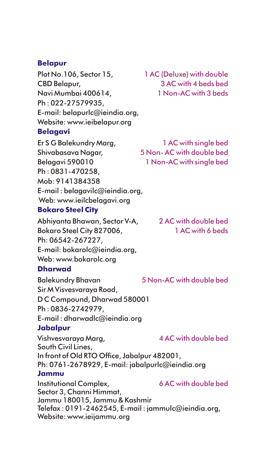### **Belapur**

**Belagavi** Plot No.106, Sector 15, CBD Belapur, Navi Mumbai 400614, Ph : 022-27579935, E-mail: belapurlc@ieindia.org, Website: www.ieibelapur.org

1 AC (Deluxe) with double 3 AC with 4 beds bed 1 Non-AC with 3 beds

Er S G Balekundry Marg, Shivabasava Nagar, Belagavi 590010 Ph : 0831-470258, Mob: 9141384358 E-mail : belagavilc@ieindia.org, Web: www.ieilcbelagavi.org 5 Non- AC with double bed

## **Bokaro Steel City**

Abhiyanta Bhawan, Sector V-A, Bokaro Steel City 827006, Ph: 06542-267227, E-mail: bokarolc@ieindia.org, Web: www.bokarolc.org

**Dharwad**

Balekundry Bhavan

2 AC with double bed 1 AC with 6 beds

1 AC with single bed

1 Non-AC with single bed

Sir M Visvesvaraya Road, D C Compound, Dharwad 580001 Ph : 0836-2742979, E-mail : dharwadlc@ieindia.org 5 Non-AC with double bed

# **Jabalpur**

**Jammu** Vishvesvaraya Marg, South Civil Lines, In front of Old RTO Office, Jabalpur 482001, Ph: 0761-2678929, E-mail: jabalpurlc@ieindia.org Institutional Complex, 4 AC with double bed 6 AC with double bed

Sector 3, Channi Himmat, Jammu 180015, Jammu & Kashmir Telefax : 0191-2462545, E-mail : jammulc@ieindia.org, Website: www.ieijammu.org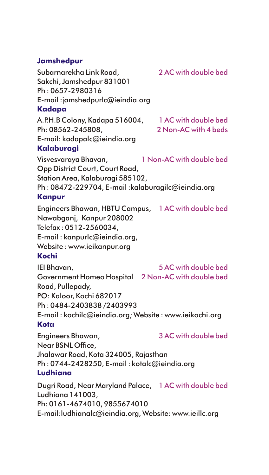# **Jamshedpur**

**Kadapa Kalaburagi Kanpur Kochi Kota Ludhiana** Subarnarekha Link Road, Sakchi, Jamshedpur 831001 Ph : 0657-2980316 E-mail :jamshedpurlc@ieindia.org A.P.H.B Colony, Kadapa 516004, Ph: 08562-245808, E-mail: kadapalc@ieindia.org Visvesvaraya Bhavan, Opp District Court, Court Road, Station Area, Kalaburagi 585102, Ph : 08472-229704, E-mail :kalaburagilc@ieindia.org Engineers Bhawan, HBTU Campus, 1 AC with double bed Nawabganj, Kanpur 208002 Telefax : 0512-2560034, E-mail : kanpurlc@ieindia.org, Website : www.ieikanpur.org IEI Bhavan, Government Homeo Hospital 2 Non-AC with double bed Road, Pullepady, PO: Kaloor, Kochi 682017 Ph : 0484-2403838 /2403993 E-mail : kochilc@ieindia.org; Website : www.ieikochi.org Engineers Bhawan, Near BSNL Office, Jhalawar Road, Kota 324005, Rajasthan Ph : 0744-2428250, E-mail : kotalc@ieindia.org Dugri Road, Near Maryland Palace, 1 AC with double bedLudhiana 141003, 2 AC with double bed 1 AC with double bed 2 Non-AC with 4 heds 1 Non-AC with double bed 5 AC with double bed 3 AC with double bed

Ph: 0161-4674010, 9855674010

E-mail:ludhianalc@ieindia.org, Website: www.ieillc.org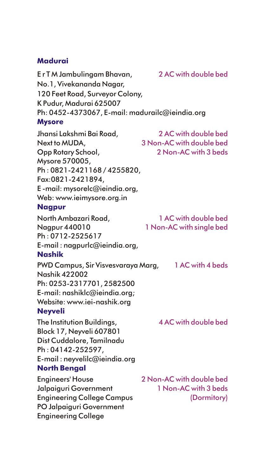## **Madurai**

**Mysore Nagpur Nashik Neyveli North Bengal** E r T M Jambulingam Bhavan, No.1, Vivekananda Nagar, 120 Feet Road, Surveyor Colony, K Pudur, Madurai 625007 Ph: 0452-4373067, E-mail: madurailc@ieindia.org Jhansi Lakshmi Bai Road, Next to MUDA, Opp Rotary School, Mysore 570005, Ph : 0821-2421168 / 4255820, Fax:0821-2421894, E -mail: mysorelc@ieindia.org, Web: www.ieimysore.org.in North Ambazari Road, Nagpur 440010 Ph : 0712-2525617 E-mail : nagpurlc@ieindia.org, PWD Campus, Sir Visvesvaraya Marg, Nashik 422002 Ph: 0253-2317701, 2582500 E-mail: nashiklc@ieindia.org; Website: www.iei-nashik.org The Institution Buildings, Block 17, Neyveli 607801 Dist Cuddalore, Tamilnadu Ph : 04142-252597, E-mail : neyvelilc@ieindia.org Engineers' House Jalpaiguri Government Engineering College Campus PO Jalpaiguri Government Engineering College 2 AC with double bed 2 AC with double bed 3 Non-AC with double bed 2 Non-AC with 3 beds 1 AC with double bed 1 Non-AC with single bed 1 AC with 4 beds 4 AC with double bed 2 Non-AC with double bed 1 Non-AC with 3 beds (Dormitory)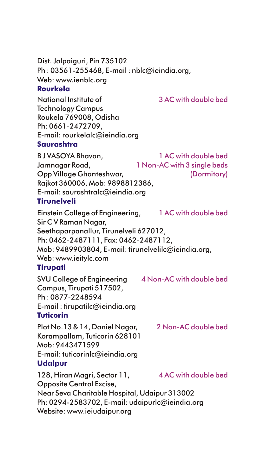Dist. Jalpaiguri, Pin 735102 Ph : 03561-255468, E-mail : nblc@ieindia.org, Web: www.ienblc.org **Rourkela**

National Institute of Technology Campus Roukela 769008, Odisha Ph: 0661-2472709, E-mail: rourkelalc@ieindia.org **Saurashtra**

B J VASOYA Bhavan, Jamnagar Road, Opp Village Ghanteshwar, Rajkot 360006, Mob: 9898812386, E-mail: saurashtralc@ieindia.org **Tirunelveli** 1 AC with double bed 1 Non-AC with 3 single beds (Dormitory)

3 AC with double bed

Einstein College of Engineering, Sir C V Raman Nagar, Seethaparpanallur, Tirunelveli 627012, Ph: 0462-2487111, Fax: 0462-2487112, Mob: 9489903804, E-mail: tirunelvelilc@ieindia.org, Web: www.ieitylc.com 1 AC with double bed

## **Tirupati**

SVU College of Engineering Campus, Tirupati 517502, Ph : 0877-2248594 E-mail : tirupatilc@ieindia.org **Tuticorin** 4 Non-AC with double bed

Plot No.13 & 14, Daniel Nagar, Korampallam, Tuticorin 628101 Mob: 9443471599 E-mail: tuticorinlc@ieindia.org **Udaipur** 2 Non-AC double bed

128, Hiran Magri, Sector 11, Opposite Central Excise, Near Seva Charitable Hospital, Udaipur 313002 Ph: 0294-2583702, E-mail: udaipurlc@ieindia.org Website: www.ieiudaipur.org 4 AC with double bed